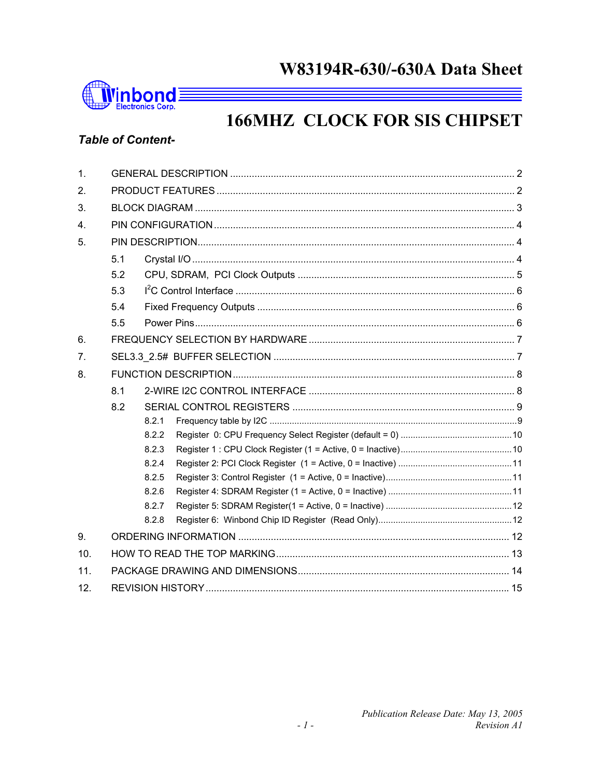## W83194R-630/-630A Data Sheet



# **166MHZ CLOCK FOR SIS CHIPSET**

## **Table of Content-**

| 1.             |     |       |  |  |  |  |  |  |  |
|----------------|-----|-------|--|--|--|--|--|--|--|
| 2.             |     |       |  |  |  |  |  |  |  |
| 3.             |     |       |  |  |  |  |  |  |  |
| 4.             |     |       |  |  |  |  |  |  |  |
| 5.             |     |       |  |  |  |  |  |  |  |
|                | 5.1 |       |  |  |  |  |  |  |  |
|                | 5.2 |       |  |  |  |  |  |  |  |
|                | 5.3 |       |  |  |  |  |  |  |  |
|                | 5.4 |       |  |  |  |  |  |  |  |
|                | 5.5 |       |  |  |  |  |  |  |  |
| 6.             |     |       |  |  |  |  |  |  |  |
| 7 <sub>1</sub> |     |       |  |  |  |  |  |  |  |
| 8.             |     |       |  |  |  |  |  |  |  |
|                | 8.1 |       |  |  |  |  |  |  |  |
|                | 8.2 |       |  |  |  |  |  |  |  |
|                |     | 8.2.1 |  |  |  |  |  |  |  |
|                |     | 8.2.2 |  |  |  |  |  |  |  |
|                |     | 8.2.3 |  |  |  |  |  |  |  |
|                |     | 8.2.4 |  |  |  |  |  |  |  |
|                |     | 8.2.5 |  |  |  |  |  |  |  |
|                |     | 8.2.6 |  |  |  |  |  |  |  |
|                |     | 8.2.7 |  |  |  |  |  |  |  |
|                |     | 8.2.8 |  |  |  |  |  |  |  |
| 9.             |     |       |  |  |  |  |  |  |  |
| 10.            |     |       |  |  |  |  |  |  |  |
| 11.            |     |       |  |  |  |  |  |  |  |
| 12.            |     |       |  |  |  |  |  |  |  |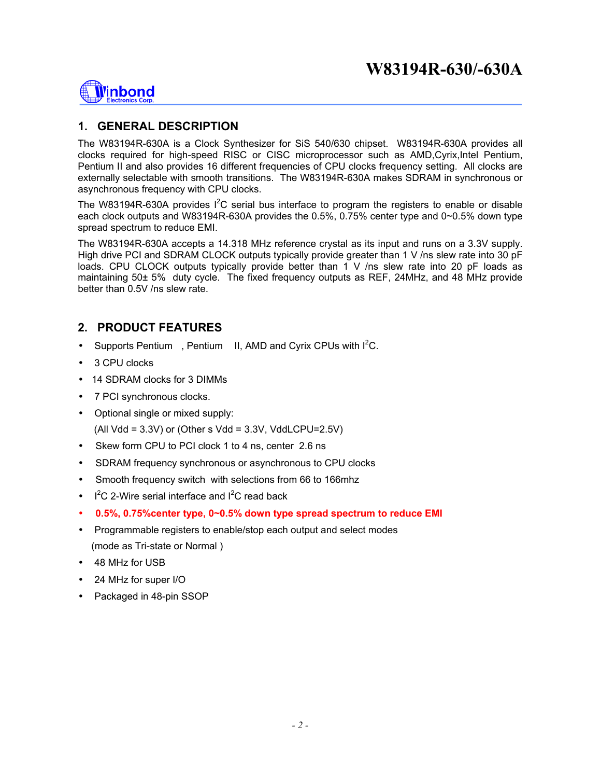

### **1. GENERAL DESCRIPTION**

The W83194R-630A is a Clock Synthesizer for SiS 540/630 chipset. W83194R-630A provides all clocks required for high-speed RISC or CISC microprocessor such as AMD,Cyrix,Intel Pentium, Pentium II and also provides 16 different frequencies of CPU clocks frequency setting. All clocks are externally selectable with smooth transitions. The W83194R-630A makes SDRAM in synchronous or asynchronous frequency with CPU clocks.

The W83194R-630A provides  $I^2C$  serial bus interface to program the registers to enable or disable each clock outputs and W83194R-630A provides the 0.5%, 0.75% center type and 0~0.5% down type spread spectrum to reduce EMI.

The W83194R-630A accepts a 14.318 MHz reference crystal as its input and runs on a 3.3V supply. High drive PCI and SDRAM CLOCK outputs typically provide greater than 1 V /ns slew rate into 30 pF loads. CPU CLOCK outputs typically provide better than 1 V /ns slew rate into 20 pF loads as maintaining 50± 5% duty cycle. The fixed frequency outputs as REF, 24MHz, and 48 MHz provide better than 0.5V /ns slew rate.

#### **2. PRODUCT FEATURES**

- Supports Pentium<sup>TM</sup>, Pentium<sup>TM</sup> II, AMD and Cyrix CPUs with  $I^2C$ .
- 3 CPU clocks
- 14 SDRAM clocks for 3 DIMMs
- 7 PCI synchronous clocks.
- Optional single or mixed supply:  $(AII Vdd = 3.3V)$  or  $(Other s Vdd = 3.3V, VddLCPU = 2.5V)$
- Skew form CPU to PCI clock 1 to 4 ns, center 2.6 ns
- SDRAM frequency synchronous or asynchronous to CPU clocks
- Smooth frequency switch with selections from 66 to 166mhz
- $\bullet$  I<sup>2</sup>C 2-Wire serial interface and I<sup>2</sup>C read back
- **0.5%, 0.75%center type, 0~0.5% down type spread spectrum to reduce EMI**
- Programmable registers to enable/stop each output and select modes (mode as Tri-state or Normal )
- 48 MHz for USB
- 24 MHz for super I/O
- Packaged in 48-pin SSOP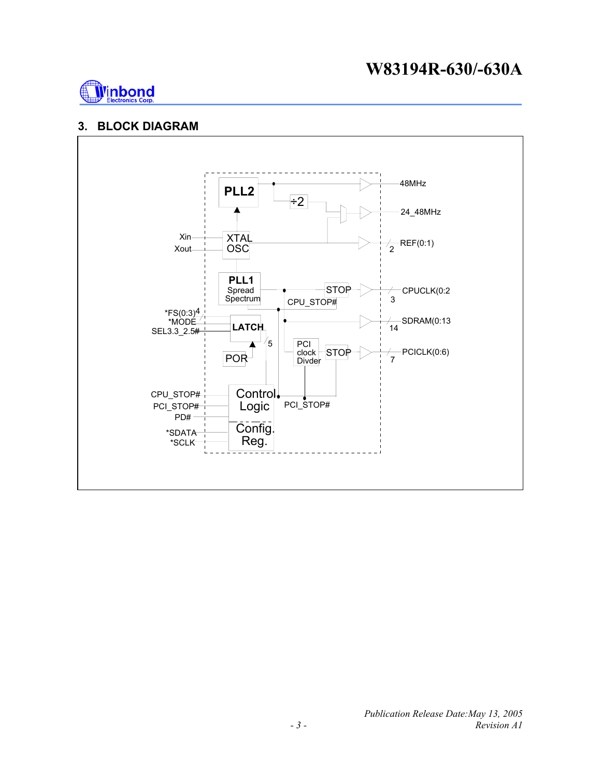## **W83194R-630/-630A**



#### **3. BLOCK DIAGRAM**

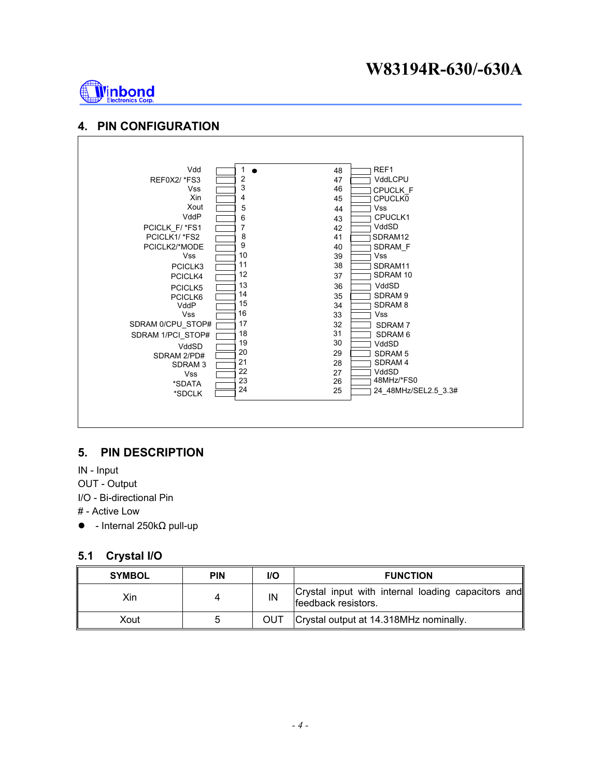## **W83194R-630/-630A**



#### **4. PIN CONFIGURATION**



#### **5. PIN DESCRIPTION**

IN - Input

OUT - Output

I/O - Bi-directional Pin

# - Active Low

 $\bullet$  - Internal 250kΩ pull-up

#### **5.1 Crystal I/O**

| <b>SYMBOL</b> | <b>PIN</b> | <b>I/O</b> | <b>FUNCTION</b>                                                           |
|---------------|------------|------------|---------------------------------------------------------------------------|
| Xin           |            | IN         | Crystal input with internal loading capacitors and<br>feedback resistors. |
| Xout          |            | <b>OUT</b> | Crystal output at 14.318MHz nominally.                                    |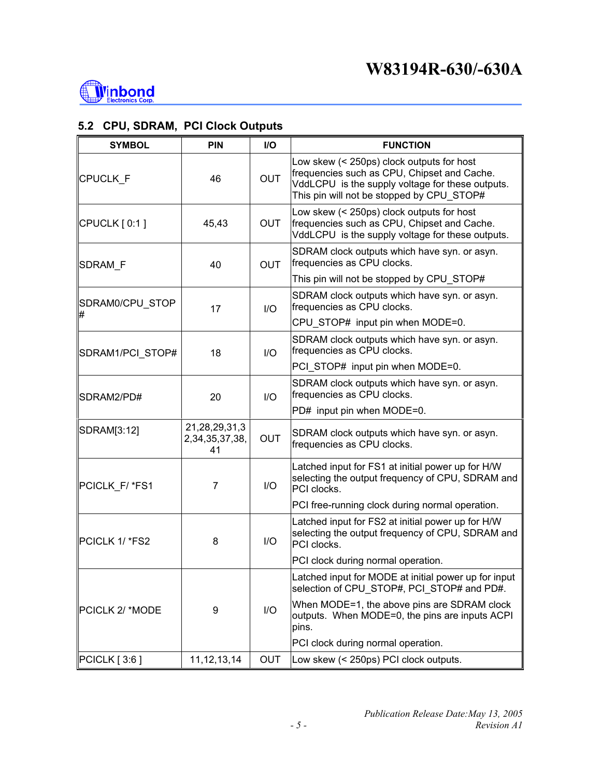

### **5.2 CPU, SDRAM, PCI Clock Outputs**

| <b>SYMBOL</b>    | <b>PIN</b>                                | I/O        | <b>FUNCTION</b>                                                                                                                                                                           |
|------------------|-------------------------------------------|------------|-------------------------------------------------------------------------------------------------------------------------------------------------------------------------------------------|
| CPUCLK_F         | 46                                        | <b>OUT</b> | Low skew (< 250ps) clock outputs for host<br>frequencies such as CPU, Chipset and Cache.<br>VddLCPU is the supply voltage for these outputs.<br>This pin will not be stopped by CPU STOP# |
| $CPUCLK$ [ 0:1 ] | 45,43                                     | <b>OUT</b> | Low skew (< 250ps) clock outputs for host<br>frequencies such as CPU, Chipset and Cache.<br>VddLCPU is the supply voltage for these outputs.                                              |
| <b>SDRAM F</b>   | 40                                        | <b>OUT</b> | SDRAM clock outputs which have syn. or asyn.<br>frequencies as CPU clocks.                                                                                                                |
|                  |                                           |            | This pin will not be stopped by CPU STOP#                                                                                                                                                 |
| SDRAM0/CPU_STOP  | 17                                        | I/O        | SDRAM clock outputs which have syn. or asyn.<br>frequencies as CPU clocks.                                                                                                                |
|                  |                                           |            | CPU_STOP# input pin when MODE=0.                                                                                                                                                          |
| SDRAM1/PCI_STOP# | 18                                        | I/O        | SDRAM clock outputs which have syn. or asyn.<br>frequencies as CPU clocks.                                                                                                                |
|                  |                                           |            | PCI STOP# input pin when MODE=0.                                                                                                                                                          |
| SDRAM2/PD#       | 20                                        | I/O        | SDRAM clock outputs which have syn. or asyn.<br>frequencies as CPU clocks.                                                                                                                |
|                  |                                           |            | PD# input pin when MODE=0.                                                                                                                                                                |
| SDRAM[3:12]      | 21, 28, 29, 31, 3<br>2,34,35,37,38,<br>41 | <b>OUT</b> | SDRAM clock outputs which have syn. or asyn.<br>frequencies as CPU clocks.                                                                                                                |
| PCICLK_F/ *FS1   | $\overline{7}$                            | I/O        | Latched input for FS1 at initial power up for H/W<br>selecting the output frequency of CPU, SDRAM and<br>PCI clocks.                                                                      |
|                  |                                           |            | PCI free-running clock during normal operation.                                                                                                                                           |
| PCICLK 1/*FS2    | 8                                         | I/O        | Latched input for FS2 at initial power up for H/W<br>selecting the output frequency of CPU, SDRAM and<br>PCI clocks.                                                                      |
|                  |                                           |            | PCI clock during normal operation.                                                                                                                                                        |
|                  |                                           |            | Latched input for MODE at initial power up for input<br>selection of CPU_STOP#, PCI_STOP# and PD#.                                                                                        |
| PCICLK 2/ *MODE  | 9                                         | I/O        | When MODE=1, the above pins are SDRAM clock<br>outputs. When MODE=0, the pins are inputs ACPI<br>pins.                                                                                    |
|                  |                                           |            | PCI clock during normal operation.                                                                                                                                                        |
| $PCICLK$ [ 3:6 ] | 11, 12, 13, 14                            | <b>OUT</b> | Low skew (< 250ps) PCI clock outputs.                                                                                                                                                     |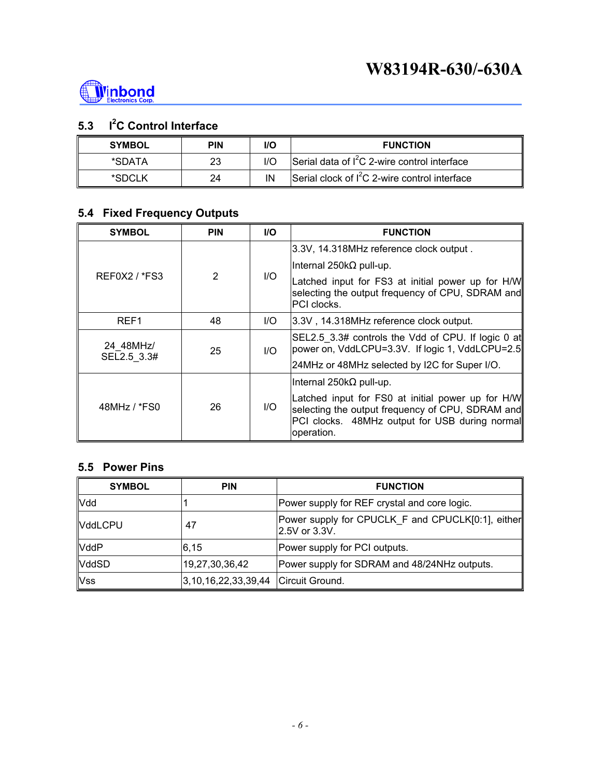

## **5.3 I<sup>2</sup>C Control Interface**

| <b>SYMBOL</b> | <b>PIN</b> | I/O | <b>FUNCTION</b>                                 |
|---------------|------------|-----|-------------------------------------------------|
| *SDATA        | 23         |     | Serial data of $I^2C$ 2-wire control interface  |
| *SDCLK        | 24         | ΙN  | Serial clock of $I^2C$ 2-wire control interface |

## **5.4 Fixed Frequency Outputs**

| <b>SYMBOL</b>            | <b>PIN</b>     | <b>I/O</b> | <b>FUNCTION</b>                                                                                                                                                                                          |
|--------------------------|----------------|------------|----------------------------------------------------------------------------------------------------------------------------------------------------------------------------------------------------------|
|                          |                | I/O        | 3.3V, 14.318MHz reference clock output.                                                                                                                                                                  |
|                          |                |            | Internal 250k $\Omega$ pull-up.                                                                                                                                                                          |
| $REFOX2$ / $*FS3$        | $\mathfrak{p}$ |            | Latched input for FS3 at initial power up for H/W<br>selecting the output frequency of CPU, SDRAM and<br>PCI clocks.                                                                                     |
| REF1                     | 48             | I/O        | 3.3V, 14.318MHz reference clock output.                                                                                                                                                                  |
| 24 48MHz/<br>SEL2.5 3.3# | 25             | UQ         | SEL2.5 3.3# controls the Vdd of CPU. If logic 0 at<br>power on, VddLCPU=3.3V. If logic 1, VddLCPU=2.5<br>24MHz or 48MHz selected by I2C for Super I/O.                                                   |
|                          |                |            |                                                                                                                                                                                                          |
| 48MHz / *FS0             | 26             | I/O        | Internal 250k $\Omega$ pull-up.<br>Latched input for FS0 at initial power up for H/W<br>selecting the output frequency of CPU, SDRAM and<br>PCI clocks. 48MHz output for USB during normal<br>operation. |

#### **5.5 Power Pins**

| <b>SYMBOL</b>  | <b>PIN</b>                          | <b>FUNCTION</b>                                                    |
|----------------|-------------------------------------|--------------------------------------------------------------------|
| <b>Vdd</b>     |                                     | Power supply for REF crystal and core logic.                       |
| <b>VddLCPU</b> | 47                                  | Power supply for CPUCLK F and CPUCLK[0:1], either<br>2.5V or 3.3V. |
| <b>VddP</b>    | 6,15                                | Power supply for PCI outputs.                                      |
| <b>VddSD</b>   | 19,27,30,36,42                      | Power supply for SDRAM and 48/24NHz outputs.                       |
| <b>Vss</b>     | 3,10,16,22,33,39,44 Circuit Ground. |                                                                    |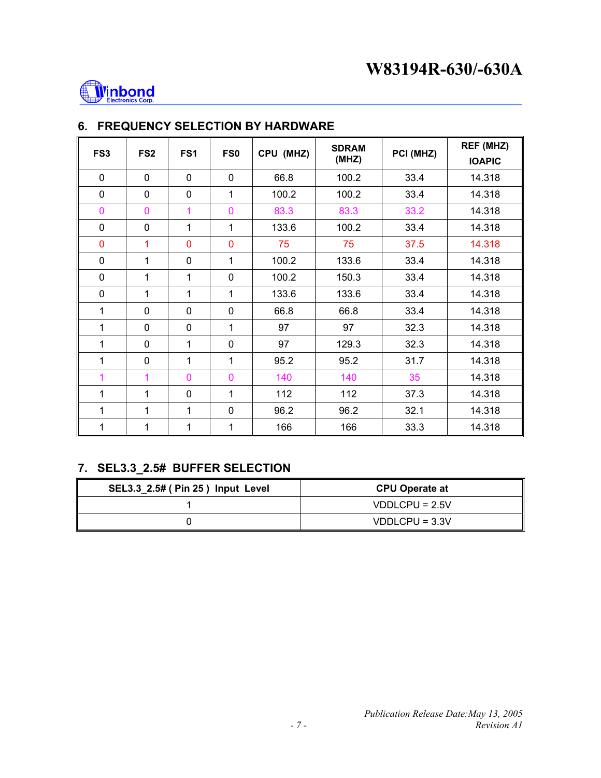

| FS <sub>3</sub> | FS <sub>2</sub> | FS <sub>1</sub> | FS0          | CPU (MHZ) | <b>SDRAM</b><br>(MHZ) | PCI (MHZ) | REF (MHZ)<br><b>IOAPIC</b> |
|-----------------|-----------------|-----------------|--------------|-----------|-----------------------|-----------|----------------------------|
| $\mathbf 0$     | $\mathbf 0$     | $\mathbf 0$     | 0            | 66.8      | 100.2                 | 33.4      | 14.318                     |
| 0               | $\mathbf 0$     | $\mathbf 0$     | $\mathbf{1}$ | 100.2     | 100.2                 | 33.4      | 14.318                     |
| $\mathbf 0$     | 0               | 1               | 0            | 83.3      | 83.3                  | 33.2      | 14.318                     |
| 0               | 0               | 1               | $\mathbf{1}$ | 133.6     | 100.2                 | 33.4      | 14.318                     |
| 0               | 1               | $\mathbf 0$     | 0            | 75        | 75                    | 37.5      | 14.318                     |
| 0               | 1               | $\mathbf 0$     | 1            | 100.2     | 133.6                 | 33.4      | 14.318                     |
| 0               | 1               | 1               | 0            | 100.2     | 150.3                 | 33.4      | 14.318                     |
| $\mathbf 0$     | $\mathbf{1}$    | $\mathbf{1}$    | 1            | 133.6     | 133.6                 | 33.4      | 14.318                     |
| 1               | $\mathbf 0$     | $\mathbf 0$     | $\mathbf 0$  | 66.8      | 66.8                  | 33.4      | 14.318                     |
| 1               | $\mathbf 0$     | $\mathbf 0$     | $\mathbf{1}$ | 97        | 97                    | 32.3      | 14.318                     |
| 1               | 0               | $\mathbf{1}$    | $\mathbf 0$  | 97        | 129.3                 | 32.3      | 14.318                     |
| 1               | 0               | 1               | $\mathbf{1}$ | 95.2      | 95.2                  | 31.7      | 14.318                     |
| 1               | 1               | $\mathbf 0$     | 0            | 140       | 140                   | 35        | 14.318                     |
| 1               | 1               | $\mathbf 0$     | $\mathbf{1}$ | 112       | 112                   | 37.3      | 14.318                     |
| 1               | 1               | 1               | 0            | 96.2      | 96.2                  | 32.1      | 14.318                     |
| 1               | 1               | 1               | 1            | 166       | 166                   | 33.3      | 14.318                     |

## **6. FREQUENCY SELECTION BY HARDWARE**

## **7. SEL3.3\_2.5# BUFFER SELECTION**

| SEL3.3_2.5# ( Pin 25 ) Input Level | <b>CPU Operate at</b> |
|------------------------------------|-----------------------|
|                                    | $VDDLCPU = 2.5V$      |
|                                    | $VDDLCPU = 3.3V$      |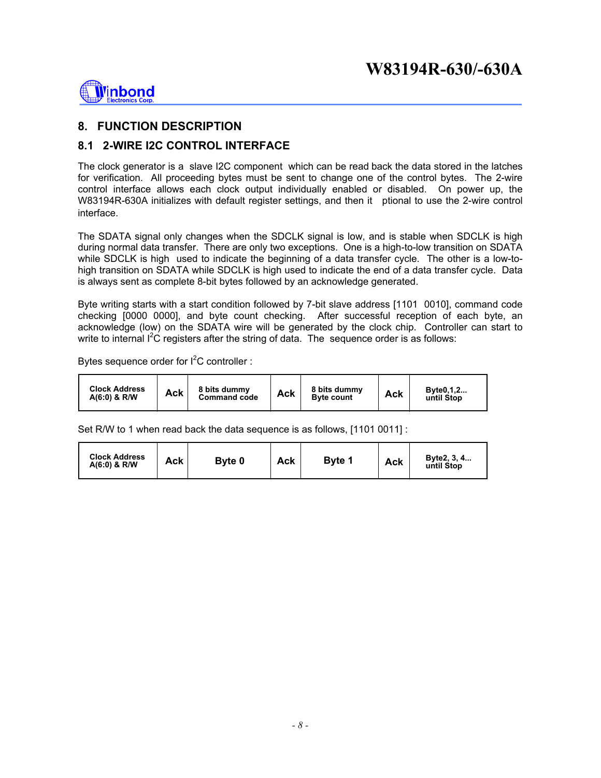

**8. FUNCTION DESCRIPTION** 

#### **8.1 2-WIRE I2C CONTROL INTERFACE**

The clock generator is a slave I2C component which can be read back the data stored in the latches for verification. All proceeding bytes must be sent to change one of the control bytes. The 2-wire control interface allows each clock output individually enabled or disabled. On power up, the W83194R-630A initializes with default register settings, and then it ptional to use the 2-wire control interface.

The SDATA signal only changes when the SDCLK signal is low, and is stable when SDCLK is high during normal data transfer. There are only two exceptions. One is a high-to-low transition on SDATA while SDCLK is high used to indicate the beginning of a data transfer cycle. The other is a low-tohigh transition on SDATA while SDCLK is high used to indicate the end of a data transfer cycle. Data is always sent as complete 8-bit bytes followed by an acknowledge generated.

Byte writing starts with a start condition followed by 7-bit slave address [1101 0010], command code checking [0000 0000], and byte count checking. After successful reception of each byte, an acknowledge (low) on the SDATA wire will be generated by the clock chip. Controller can start to write to internal  $I^2C$  registers after the string of data. The sequence order is as follows:

Bytes sequence order for  $I^2C$  controller :

| <b>Clock Address</b><br>8 bits dummy<br>Ack<br>$A(6:0)$ & R/W<br><b>Command code</b> | 8 bits dummy<br>Ack<br><b>Byte count</b> | Byte0,1,2<br>Ack<br>until Stop |
|--------------------------------------------------------------------------------------|------------------------------------------|--------------------------------|
|--------------------------------------------------------------------------------------|------------------------------------------|--------------------------------|

Set R/W to 1 when read back the data sequence is as follows, [1101 0011] :

| <b>Clock Address</b><br>Ack<br>Byte 0<br>$A(6:0)$ & R/W | Ack | <b>Byte 1</b> | <b>Ack</b> | Byte2, 3, 4<br>until Stop |
|---------------------------------------------------------|-----|---------------|------------|---------------------------|
|---------------------------------------------------------|-----|---------------|------------|---------------------------|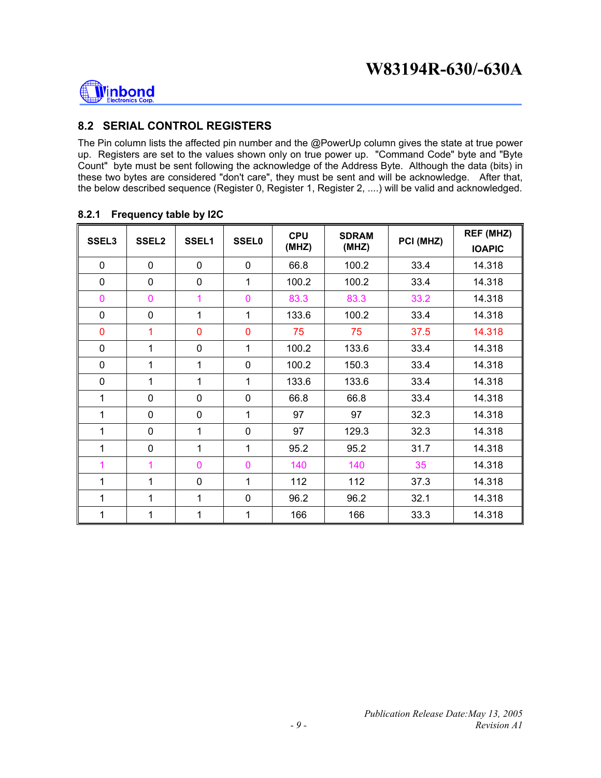

#### **8.2 SERIAL CONTROL REGISTERS**

The Pin column lists the affected pin number and the @PowerUp column gives the state at true power up. Registers are set to the values shown only on true power up. "Command Code" byte and "Byte Count" byte must be sent following the acknowledge of the Address Byte. Although the data (bits) in these two bytes are considered "don't care", they must be sent and will be acknowledge. After that, the below described sequence (Register 0, Register 1, Register 2, ....) will be valid and acknowledged.

| SSEL <sub>3</sub> | SSEL <sub>2</sub> | SSEL1          | <b>SSEL0</b>   | <b>CPU</b><br>(MHZ) | <b>SDRAM</b><br>(MHZ) | PCI (MHZ) | REF (MHZ)<br><b>IOAPIC</b> |
|-------------------|-------------------|----------------|----------------|---------------------|-----------------------|-----------|----------------------------|
| $\mathbf 0$       | $\mathbf 0$       | $\mathbf 0$    | $\mathbf 0$    | 66.8                | 100.2                 | 33.4      | 14.318                     |
| $\mathbf 0$       | $\mathbf 0$       | $\mathbf 0$    | $\mathbf{1}$   | 100.2               | 100.2                 | 33.4      | 14.318                     |
| $\mathbf 0$       | $\overline{0}$    | 1              | $\overline{0}$ | 83.3                | 83.3                  | 33.2      | 14.318                     |
| $\mathbf 0$       | 0                 | 1              | 1              | 133.6               | 100.2                 | 33.4      | 14.318                     |
| $\mathbf{0}$      | 1                 | $\overline{0}$ | $\overline{0}$ | 75                  | 75                    | 37.5      | 14.318                     |
| $\mathbf{0}$      | 1                 | $\mathbf 0$    | 1              | 100.2               | 133.6                 | 33.4      | 14.318                     |
| $\mathbf 0$       | $\mathbf{1}$      | 1              | $\overline{0}$ | 100.2               | 150.3                 | 33.4      | 14.318                     |
| $\mathbf 0$       | 1                 | 1              | 1              | 133.6               | 133.6                 | 33.4      | 14.318                     |
| 1                 | 0                 | $\mathbf 0$    | $\mathbf 0$    | 66.8                | 66.8                  | 33.4      | 14.318                     |
| 1                 | 0                 | $\mathbf 0$    | 1              | 97                  | 97                    | 32.3      | 14.318                     |
| 1                 | 0                 | 1              | $\mathbf 0$    | 97                  | 129.3                 | 32.3      | 14.318                     |
| 1                 | 0                 | 1              | 1              | 95.2                | 95.2                  | 31.7      | 14.318                     |
| 1                 | 1                 | $\overline{0}$ | $\overline{0}$ | 140                 | 140                   | 35        | 14.318                     |
| 1                 | $\mathbf{1}$      | $\mathbf 0$    | $\mathbf{1}$   | 112                 | 112                   | 37.3      | 14.318                     |
| 1                 | 1                 | 1              | $\mathbf 0$    | 96.2                | 96.2                  | 32.1      | 14.318                     |
| 1                 | 1                 | 1              | 1              | 166                 | 166                   | 33.3      | 14.318                     |

#### **8.2.1 Frequency table by I2C**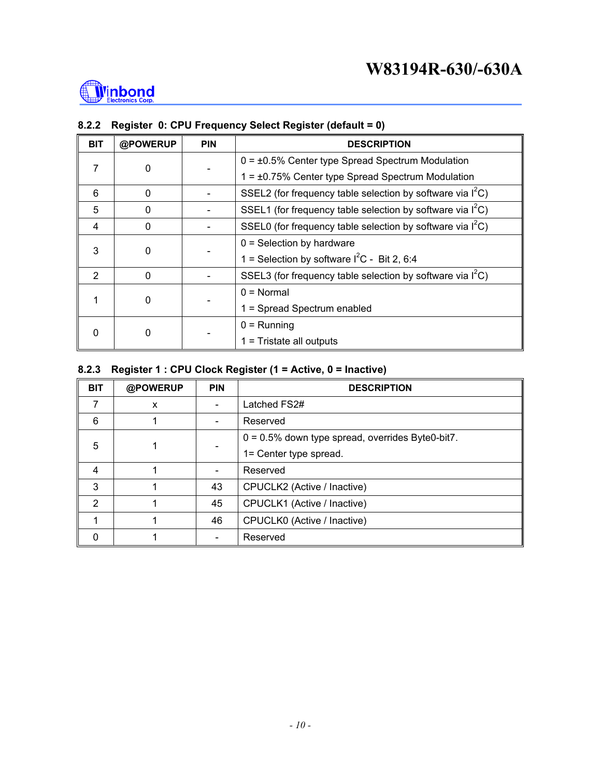

| <b>BIT</b>     | @POWERUP | <b>PIN</b>                                    | <b>DESCRIPTION</b>                                            |
|----------------|----------|-----------------------------------------------|---------------------------------------------------------------|
|                |          |                                               | $0 = \pm 0.5\%$ Center type Spread Spectrum Modulation        |
|                | 7<br>0   |                                               | $1 = \pm 0.75\%$ Center type Spread Spectrum Modulation       |
| 6              | $\Omega$ |                                               | SSEL2 (for frequency table selection by software via $I^2C$ ) |
| 5              | 0        |                                               | SSEL1 (for frequency table selection by software via $I^2C$ ) |
| 4              | $\Omega$ |                                               | SSEL0 (for frequency table selection by software via $I^2C$ ) |
|                |          |                                               | $0 =$ Selection by hardware                                   |
| 3<br>0         |          | 1 = Selection by software $I^2C$ - Bit 2, 6:4 |                                                               |
| $\mathfrak{p}$ | $\Omega$ |                                               | SSEL3 (for frequency table selection by software via $I^2C$ ) |
|                |          |                                               | $0 = \text{Normal}$                                           |
| 0              |          | 1 = Spread Spectrum enabled                   |                                                               |
| 0<br>0         |          |                                               | $0 =$ Running                                                 |
|                |          |                                               | $1 =$ Tristate all outputs                                    |

### **8.2.2 Register 0: CPU Frequency Select Register (default = 0)**

#### **8.2.3 Register 1 : CPU Clock Register (1 = Active, 0 = Inactive)**

| <b>BIT</b>     | @POWERUP | <b>PIN</b>                                          | <b>DESCRIPTION</b>          |  |
|----------------|----------|-----------------------------------------------------|-----------------------------|--|
|                | X        |                                                     | Latched FS2#                |  |
| 6              |          | $\blacksquare$                                      | Reserved                    |  |
| 5              |          | $0 = 0.5\%$ down type spread, overrides Byte0-bit7. |                             |  |
|                |          | 1= Center type spread.                              |                             |  |
| $\overline{4}$ |          |                                                     | Reserved                    |  |
| 3              |          | 43                                                  | CPUCLK2 (Active / Inactive) |  |
| 2              |          | 45                                                  | CPUCLK1 (Active / Inactive) |  |
|                |          | 46                                                  | CPUCLK0 (Active / Inactive) |  |
| 0              |          |                                                     | Reserved                    |  |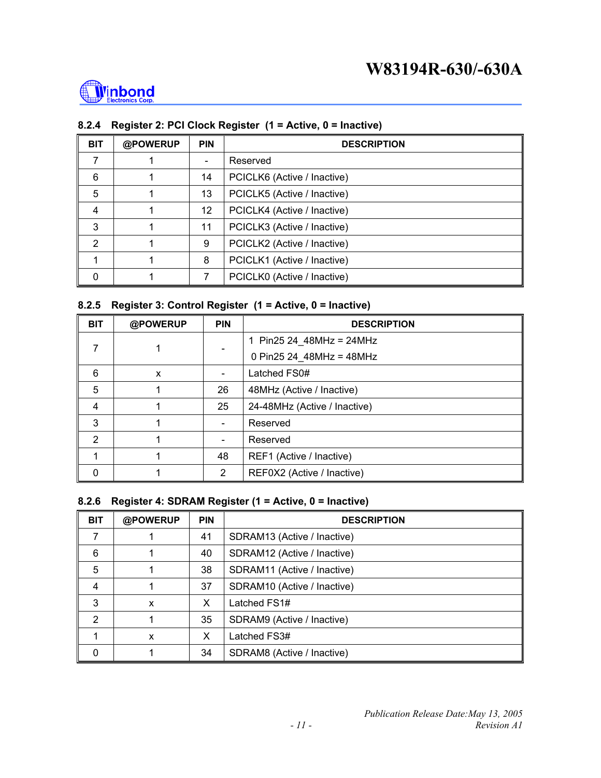

#### **8.2.4 Register 2: PCI Clock Register (1 = Active, 0 = Inactive)**

| <b>BIT</b>     | @POWERUP | <b>PIN</b>               | <b>DESCRIPTION</b>          |  |
|----------------|----------|--------------------------|-----------------------------|--|
| 7              |          | $\overline{\phantom{a}}$ | Reserved                    |  |
| 6              |          | 14                       | PCICLK6 (Active / Inactive) |  |
| 5              |          | 13                       | PCICLK5 (Active / Inactive) |  |
| $\overline{4}$ |          | 12 <sup>°</sup>          | PCICLK4 (Active / Inactive) |  |
| 3              |          | 11                       | PCICLK3 (Active / Inactive) |  |
| 2              |          | 9                        | PCICLK2 (Active / Inactive) |  |
|                |          | 8                        | PCICLK1 (Active / Inactive) |  |
| 0              |          | 7                        | PCICLK0 (Active / Inactive) |  |

#### **8.2.5 Register 3: Control Register (1 = Active, 0 = Inactive)**

| <b>BIT</b> | @POWERUP | <b>PIN</b>                   | <b>DESCRIPTION</b>           |  |
|------------|----------|------------------------------|------------------------------|--|
| 7          |          |                              | 1 Pin25 24 48MHz = 24MHz     |  |
|            |          |                              | 0 Pin25 24 48MHz = 48MHz     |  |
| 6          | X        | $\overline{\phantom{a}}$     | Latched FS0#                 |  |
| 5          |          | 26                           | 48MHz (Active / Inactive)    |  |
| 4          |          | 25                           | 24-48MHz (Active / Inactive) |  |
| 3          |          | $\overline{\phantom{a}}$     | Reserved                     |  |
| 2          |          | $\qquad \qquad \blacksquare$ | Reserved                     |  |
|            |          | 48                           | REF1 (Active / Inactive)     |  |
| 0          |          | 2                            | REF0X2 (Active / Inactive)   |  |

#### **8.2.6 Register 4: SDRAM Register (1 = Active, 0 = Inactive)**

| <b>BIT</b>    | @POWERUP | <b>PIN</b> | <b>DESCRIPTION</b>          |  |
|---------------|----------|------------|-----------------------------|--|
|               |          | 41         | SDRAM13 (Active / Inactive) |  |
| 6             |          | 40         | SDRAM12 (Active / Inactive) |  |
| 5             |          | 38         | SDRAM11 (Active / Inactive) |  |
| 4             |          | 37         | SDRAM10 (Active / Inactive) |  |
| 3             | X        | X          | Latched FS1#                |  |
| $\mathcal{P}$ |          | 35         | SDRAM9 (Active / Inactive)  |  |
|               | X        | X          | Latched FS3#                |  |
| 0             |          | 34         | SDRAM8 (Active / Inactive)  |  |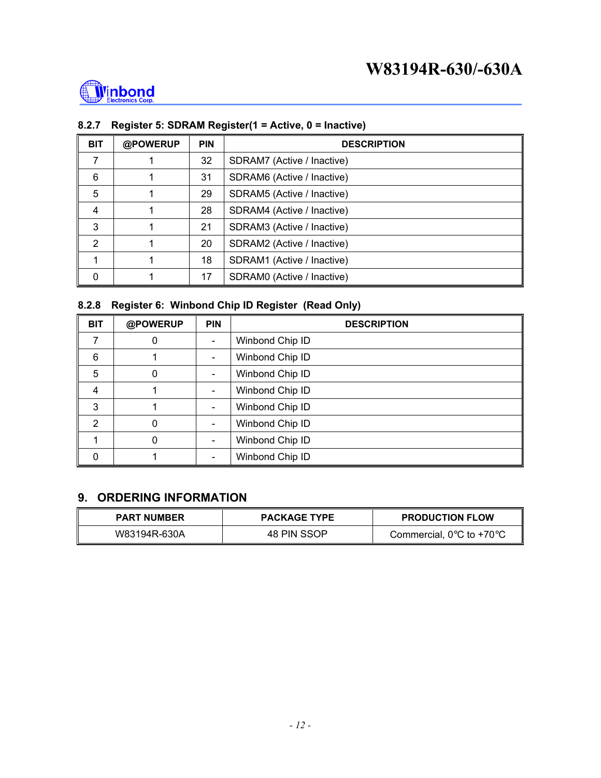

#### **8.2.7 Register 5: SDRAM Register(1 = Active, 0 = Inactive)**

| <b>BIT</b>    | @POWERUP | <b>PIN</b> | <b>DESCRIPTION</b>         |  |
|---------------|----------|------------|----------------------------|--|
|               |          | 32         | SDRAM7 (Active / Inactive) |  |
| 6             |          | 31         | SDRAM6 (Active / Inactive) |  |
| 5             |          | 29         | SDRAM5 (Active / Inactive) |  |
| 4             |          | 28         | SDRAM4 (Active / Inactive) |  |
| 3             |          | 21         | SDRAM3 (Active / Inactive) |  |
| $\mathcal{P}$ |          | 20         | SDRAM2 (Active / Inactive) |  |
|               |          | 18         | SDRAM1 (Active / Inactive) |  |
| 0             |          | 17         | SDRAM0 (Active / Inactive) |  |

## **8.2.8 Register 6: Winbond Chip ID Register (Read Only)**

| <b>BIT</b> | @POWERUP | <b>PIN</b> | <b>DESCRIPTION</b> |  |
|------------|----------|------------|--------------------|--|
|            | 0        |            | Winbond Chip ID    |  |
| 6          |          |            | Winbond Chip ID    |  |
| 5          | 0        |            | Winbond Chip ID    |  |
| 4          |          |            | Winbond Chip ID    |  |
| 3          |          |            | Winbond Chip ID    |  |
| 2          | 0        |            | Winbond Chip ID    |  |
|            | 0        |            | Winbond Chip ID    |  |
|            |          |            | Winbond Chip ID    |  |

#### **9. ORDERING INFORMATION**

| <b>PART NUMBER</b> | <b>PACKAGE TYPE</b> | <b>PRODUCTION FLOW</b>                        |
|--------------------|---------------------|-----------------------------------------------|
| W83194R-630A       | 48 PIN SSOP         | Commercial, $0^{\circ}$ C to +70 $^{\circ}$ C |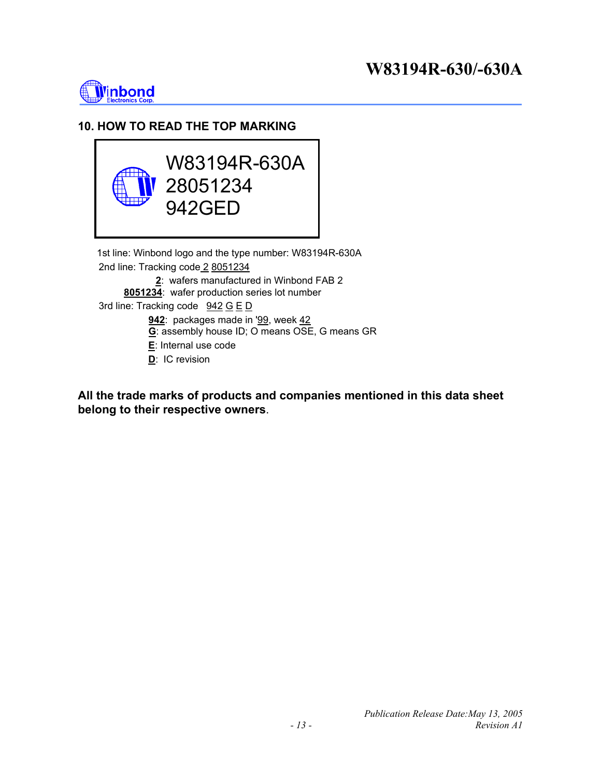## **W83194R-630/-630A**



### **10. HOW TO READ THE TOP MARKING**



**All the trade marks of products and companies mentioned in this data sheet belong to their respective owners**.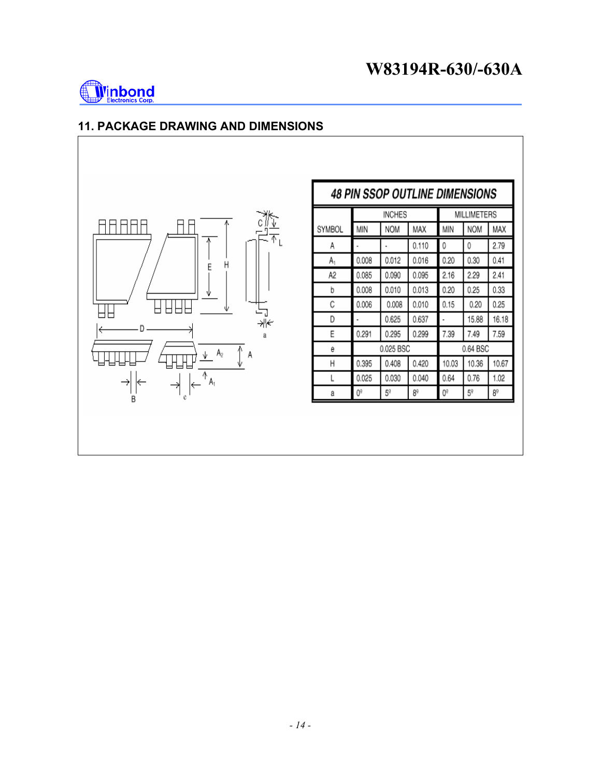

## **11. PACKAGE DRAWING AND DIMENSIONS**